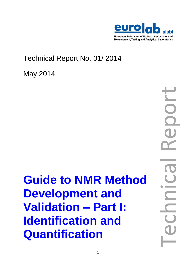

# Technical Report No. 01/ 2014

May 2014

**Guide to NMR Method Development and Validation – Part I: Identification and Quantification**

Technical Report  $\overline{\mathbf{r}}$  $\overline{\phantom{0}}$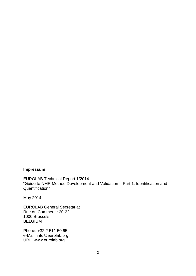# **Impressum**

EUROLAB Technical Report 1/2014 "Guide to NMR Method Development and Validation – Part 1: Identification and Quantification"

May 2014

EUROLAB General Secretariat Rue du Commerce 20-22 1000 Brussels BELGIUM

Phone: +32 2 511 50 65 e-Mail: info@eurolab.org URL: www.eurolab.org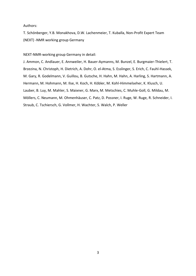Authors:

T. Schönberger, Y.B. Monakhova, D.W. Lachenmeier, T. Kuballa, Non-Profit Expert Team (NEXT) -NMR working group Germany

NEXT-NMR-working group Germany in detail:

J. Ammon, C. Andlauer, E. Annweiler, H. Bauer-Aymanns, M. Bunzel, E. Burgmaier-Thielert, T. Brzezina, N. Christoph, H. Dietrich, A. Dohr, O. el-Atma, S. Esslinger, S. Erich, C. Fauhl-Hassek, M. Gary, R. Godelmann, V. Guillou, B. Gutsche, H. Hahn, M. Hahn, A. Harling, S. Hartmann, A. Hermann, M. Hohmann, M. Ilse, H. Koch, H. Köbler, M. Kohl-Himmelseher, K. Klusch, U. Lauber, B. Luy, M. Mahler, S. Maixner, G. Marx, M. Metschies, C. Muhle-Goll, G. Mildau, M. Möllers, C. Neumann, M. Ohmenhäuser, C. Patz, D. Possner, I. Ruge, W. Ruge, R. Schneider, I. Straub, C. Tschiersch, G. Vollmer, H. Wachter, S. Walch, P. Weller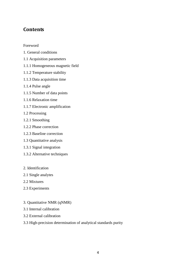# **Contents**

Foreword

- 1. General conditions
- 1.1 Acquisition parameters
- 1.1.1 Homogeneous magnetic field
- 1.1.2 Temperature stability
- 1.1.3 Data acquisition time
- 1.1.4 Pulse angle
- 1.1.5 Number of data points
- 1.1.6 Relaxation time
- 1.1.7 Electronic amplification
- 1.2 Processing
- 1.2.1 Smoothing
- 1.2.2 Phase correction
- 1.2.3 Baseline correction
- 1.3 Quantitative analysis
- 1.3.1 Signal integration
- 1.3.2 Alternative techniques
- 2. Identification
- 2.1 Single analytes
- 2.2 Mixtures
- 2.3 Experiments
- 3. Quantitative NMR (qNMR)
- 3.1 Internal calibration
- 3.2 External calibration
- 3.3 High-precision determination of analytical standards purity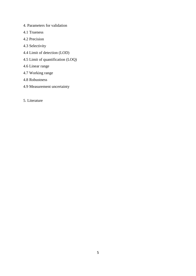- 4. Parameters for validation
- 4.1 Trueness
- 4.2 Precision
- 4.3 Selectivity
- 4.4 Limit of detection (LOD)
- 4.5 Limit of quantification (LOQ)
- 4.6 Linear range
- 4.7 Working range
- 4.8 Robustness
- 4.9 Measurement uncertainty
- 5. Literature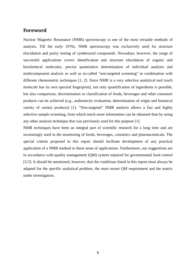# **Foreword**

Nuclear Magnetic Resonance (NMR) spectroscopy is one of the most versatile methods of analysis. Till the early 1970s, NMR spectroscopy was exclusively used for structure elucidation and purity testing of synthesized compounds. Nowadays, however, the range of successful applications covers identification and structure elucidation of organic and biochemical molecules, precise quantitative determination of individual analytes and multicomponent analysis as well as so-called "non-targeted screening" in combination with different chemometric techniques [1, 2]. Since NMR is a very selective analytical tool (each molecule has its own spectral fingerprint), not only quantification of ingredients is possible, but also comparison, discrimination or classification of foods, beverages and other consumer products can be achieved (e.g., authenticity evaluation, determination of origin and botanical variety of certain products) [1]. "Non-targeted" NMR analysis allows a fast and highly selective sample screening, from which much more information can be obtained than by using any other analysis technique that was previously used for this purpose [1].

NMR techniques have been an integral part of scientific research for a long time and are increasingly used in the monitoring of foods, beverages, cosmetics and pharmaceuticals. The special criteria proposed in this report should facilitate development of any practical application of a NMR method in these areas of applications. Furthermore, our suggestions are in accordance with quality management (QM) system required for governmental food control [3-5]. It should be mentioned, however, that the conditions listed in this report must always be adapted for the specific analytical problem, the most recent QM requirement and the matrix under investigation.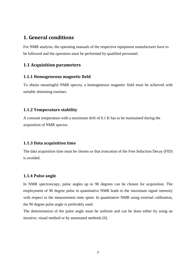# **1. General conditions**

For NMR analysis, the operating manuals of the respective equipment manufacturer have to be followed and the operation must be performed by qualified personnel.

# **1.1 Acquisition parameters**

### **1.1.1 Homogeneous magnetic field**

To obtain meaningful NMR spectra, a homogeneous magnetic field must be achieved with suitable shimming routines.

### **1.1.2 Temperature stability**

A constant temperature with a maximum drift of 0.1 K has to be maintained during the acquisition of NMR spectra.

### **1.1.3 Data acquisition time**

The data acquisition time must be chosen so that truncation of the Free Induction Decay (FID) is avoided.

### **1.1.4 Pulse angle**

In NMR spectroscopy, pulse angles up to 90 degrees can be chosen for acquisition. The employment of 90 degree pulse in quantitative NMR leads to the maximum signal intensity with respect to the measurement time spent. In quantitative NMR using external calibration, the 90 degree pulse angle is preferably used.

The determination of the pulse angle must be uniform and can be done either by using an iterative, visual method or by automated methods [6].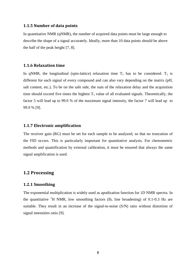### **1.1.5 Number of data points**

In quantitative NMR (qNMR), the number of acquired data points must be large enough to describe the shape of a signal accurately. Ideally, more than 10 data points should be above the half of the peak height [7, 8].

#### **1.1.6 Relaxation time**

In qNMR, the longitudinal (spin-lattice) relaxation time  $T_1$  has to be considered.  $T_1$  is different for each signal of every compound and can also vary depending on the matrix (pH, salt content, etc.). To be on the safe side, the sum of the relaxation delay and the acquisition time should exceed five times the highest  $T_1$  value of all evaluated signals. Theoretically, the factor 5 will lead up to 99.0 % of the maximum signal intensity, the factor 7 will lead up to 99.9 % [9].

### **1.1.7 Electronic amplification**

The receiver gain (RG) must be set for each sample to be analyzed, so that no truncation of the FID occurs. This is particularly important for quantitative analysis. For chemometric methods and quantification by external calibration, it must be ensured that always the same signal amplification is used.

## **1.2 Processing**

### **1.2.1 Smoothing**

The exponential multiplication is widely used as apodization function for 1D NMR spectra. In the quantitative  ${}^{1}H$  NMR, low smoothing factors (lb, line broadening) of 0.1-0.3 Hz are suitable. They result in an increase of the signal-to-noise (S/N) ratio without distortion of signal intensities ratio [9].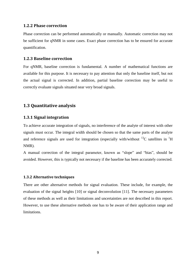#### **1.2.2 Phase correction**

Phase correction can be performed automatically or manually. Automatic correction may not be sufficient for qNMR in some cases. Exact phase correction has to be ensured for accurate quantification.

#### **1.2.3 Baseline correction**

For qNMR, baseline correction is fundamental. A number of mathematical functions are available for this purpose. It is necessary to pay attention that only the baseline itself, but not the actual signal is corrected. In addition, partial baseline correction may be useful to correctly evaluate signals situated near very broad signals.

### **1.3 Quantitative analysis**

### **1.3.1 Signal integration**

To achieve accurate integration of signals, no interference of the analyte of interest with other signals must occur. The integral width should be chosen so that the same parts of the analyte and reference signals are used for integration (especially with/without  $^{13}$ C satellites in  $^{1}$ H NMR).

A manual correction of the integral parameter, known as "slope" and "bias", should be avoided. However, this is typically not necessary if the baseline has been accurately corrected.

#### **1.3.2 Alternative techniques**

There are other alternative methods for signal evaluation. These include, for example, the evaluation of the signal heights [10] or signal deconvolution [11]. The necessary parameters of these methods as well as their limitations and uncertainties are not described in this report. However, to use these alternative methods one has to be aware of their application range and limitations.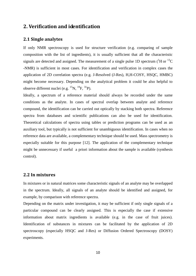# **2. Verification and identification**

### **2.1 Single analytes**

If only NMR spectroscopy is used for structure verification (e.g. comparing of sample composition with the list of ingredients), it is usually sufficient that all the characteristic signals are detected and assigned. The measurement of a single pulse 1D spectrum  $(^1H$  or  $^{13}C$ -NMR) is sufficient in most cases. For identification and verification in complex cases the application of 2D correlation spectra (e.g. J-Resolved (J-Res), H,H-COSY, HSQC, HMBC) might become necessary. Depending on the analytical problem it could be also helpful to observe different nuclei (e.g.  $^{15}N$ ,  $^{19}F$ ,  $^{31}P$ ).

Ideally, a spectrum of a reference material should always be recorded under the same conditions as the analyte. In cases of spectral overlap between analyte and reference compound, the identification can be carried out optically by stacking both spectra. Reference spectra from databases and scientific publications can also be used for identification. Theoretical calculations of spectra using tables or prediction programs can be used as an auxiliary tool, but typically is not sufficient for unambiguous identification. In cases when no reference data are available, a complementary technique should be used. Mass spectrometry is especially suitable for this purpose [12]. The application of the complementary technique might be unnecessary if useful a priori information about the sample is available (synthesis control).

### **2.2 In mixtures**

In mixtures or in natural matrices some characteristic signals of an analyte may be overlapped in the spectrum. Ideally, all signals of an analyte should be identified and assigned, for example, by comparison with reference spectra.

Depending on the matrix under investigation, it may be sufficient if only single signals of a particular compound can be clearly assigned. This is especially the case if extensive information about matrix ingredients is available (e.g. in the case of fruit juices). Identification of substances in mixtures can be facilitated by the application of 2D spectroscopy (especially HSQC and J-Res) or Diffusion Ordered Spectroscopy (DOSY) experiments.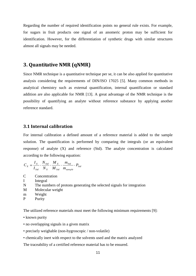Regarding the number of required identification points no general rule exists. For example, for sugars in fruit products one signal of an anomeric proton may be sufficient for identification. However, for the differentiation of synthetic drugs with similar structures almost all signals may be needed.

# **3. Quantitative NMR (qNMR)**

Since NMR technique is a quantitative technique per se, it can be also applied for quantitative analysis considering the requirements of DIN/ISO 17025 [5]. Many common methods in analytical chemistry such as external quantification, internal quantification or standard addition are also applicable for NMR [13]. A great advantage of the NMR technique is the possibility of quantifying an analyte without reference substance by applying another reference standard.

### **3.1 Internal calibration**

For internal calibration a defined amount of a reference material is added to the sample solution. The quantification is performed by comparing the integrals (or an equivalent response) of analyte (X) and reference (Std). The analyte concentration is calculated according to the following equation:

$$
C_x = \frac{I_x}{I_{\textit{Std}}} \cdot \frac{N_{\textit{Std}}}{N_x} \cdot \frac{M_x}{M_{\textit{Std}}} \cdot \frac{m_{\textit{Std}}}{m_{\textit{sample}}} \cdot P_{\textit{Std}}
$$

- C Concentration
- I Integral
- N The numbers of protons generating the selected signals for integration
- M Molecular weight
- m Weight
- P Purity

The utilized reference materials must meet the following minimum requirements [9]:

- known purity
- no overlapping signals in a given matrix
- precisely weighable (non-hygroscopic / non-volatile)
- chemically inert with respect to the solvents used and the matrix analyzed

The traceability of a certified reference material has to be ensured.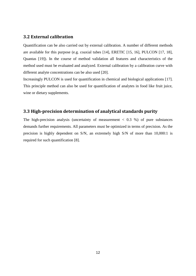# **3.2 External calibration**

Quantification can be also carried out by external calibration. A number of different methods are available for this purpose (e.g. coaxial tubes [14], ERETIC [15, 16], PULCON [17, 18], Quantas [19]). In the course of method validation all features and characteristics of the method used must be evaluated and analyzed. External calibration by a calibration curve with different analyte concentrations can be also used [20].

Increasingly PULCON is used for quantification in chemical and biological applications [17]. This principle method can also be used for quantification of analytes in food like fruit juice, wine or dietary supplements.

# **3.3 High-precision determination of analytical standards purity**

The high-precision analysis (uncertainty of measurement  $\langle 0.3, 0.9 \rangle$  of pure substances demands further requirements. All parameters must be optimized in terms of precision. As the precision is highly dependent on S/N, an extremely high S/N of more than 10,000:1 is required for such quantification [8].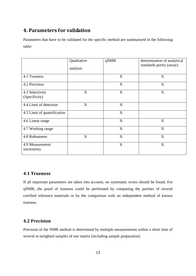# **4. Parameters for validation**

Parameters that have to be validated for the specific method are summarized in the following table:

|                                  | Qualitative<br>analysis | qNMR | determination of analytical<br>standards purity (assay) |
|----------------------------------|-------------------------|------|---------------------------------------------------------|
| 4.1 Trueness                     |                         | X    | X                                                       |
| 4.2 Precision                    |                         | X    | X                                                       |
| 4.3 Selectivity<br>(Specificity) | X                       | X    | X                                                       |
| 4.4 Limit of detection           | X                       | X    |                                                         |
| 4.5 Limit of quantification      |                         | X    |                                                         |
| 4.6 Linear range                 |                         | X    | X                                                       |
| 4.7 Working range                |                         | X    | X                                                       |
| 4.8 Robustness                   | X                       | X    | X                                                       |
| 4.9 Measurement<br>uncertainty   |                         | X    | X                                                       |

# **4.1 Trueness**

If all important parameters are taken into account, no systematic errors should be found. For qNMR, the proof of trueness could be performed by comparing the purities of several certified reference materials or by the comparison with an independent method of known trueness.

# **4.2 Precision**

Precision of the NMR method is determined by multiple measurements within a short time of several re-weighted samples of one matrix (including sample preparation).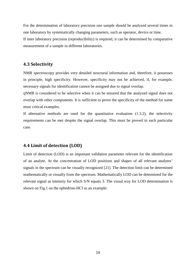For the determination of laboratory precision one sample should be analyzed several times in one laboratory by systematically changing parameters, such as operator, device or time. If inter laboratory precision (reproducibility) is required, it can be determined by comparative measurement of a sample in different laboratories.

# **4.3 Selectivity**

NMR spectroscopy provides very detailed structural information and, therefore, it possesses in principle, high specificity. However, specificity may not be achieved, if, for example, necessary signals for identification cannot be assigned due to signal overlap.

qNMR is considered to be selective when it can be ensured that the analyzed signal does not overlap with other components. It is sufficient to prove the specificity of the method for some most critical examples.

If alternative methods are used for the quantitative evaluation (1.3.2), the selectivity requirements can be met despite the signal overlap. This must be proved in each particular case.

# **4.4 Limit of detection (LOD)**

Limit of detection (LOD) is an important validation parameter relevant for the identification of an analyte. At the concentration of LOD positions and shapes of all relevant analytes' signals in the spectrum can be visually recognized [21]. The detection limit can be determined mathematically or visually from the spectrum. Mathematically LOD can be determined for the relevant signal as intensity for which S/N equals 3. The visual way for LOD determination is shown on Fig.1 on the ephedrine-HCl as an example: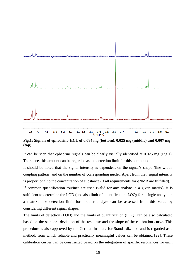

**Fig.1: Signals of ephedrine-HCL of 0.084 mg (bottom), 0.025 mg (middle) und 0.007 mg (top).**

It can be seen that ephedrine signals can be clearly visually identified at 0.025 mg (Fig.1). Therefore, this amount can be regarded as the detection limit for this compound.

It should be noted that the signal intensity is dependent on the signal's shape (line width, coupling pattern) and on the number of corresponding nuclei. Apart from that, signal intensity is proportional to the concentration of substance (if all requirements for qNMR are fulfilled).

If common quantification routines are used (valid for any analyte in a given matrix), it is sufficient to determine the LOD (and also limit of quantification, LOQ) for a single analyte in a matrix. The detection limit for another analyte can be assessed from this value by considering different signal shapes.

The limits of detection (LOD) and the limits of quantification (LOQ) can be also calculated based on the standard deviation of the response and the slope of the calibration curve. This procedure is also approved by the German Institute for Standardization and is regarded as a method, from which reliable and practically meaningful values can be obtained [22]. These calibration curves can be constructed based on the integration of specific resonances for each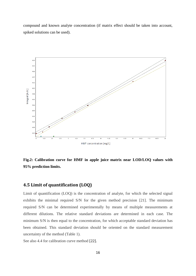compound and known analyte concentration (if matrix effect should be taken into account, spiked solutions can be used).



**Fig.2: Calibration curve for HMF in apple juice matrix near LOD/LOQ values with 95% prediction limits.**

# **4.5 Limit of quantification (LOQ)**

Limit of quantification (LOQ) is the concentration of analyte, for which the selected signal exhibits the minimal required S/N for the given method precision [21]. The minimum required S/N can be determined experimentally by means of multiple measurements at different dilutions. The relative standard deviations are determined in each case. The minimum S/N is then equal to the concentration, for which acceptable standard deviation has been obtained. This standard deviation should be oriented on the standard measurement uncertainty of the method (Table 1).

See also 4.4 for calibration curve method [22].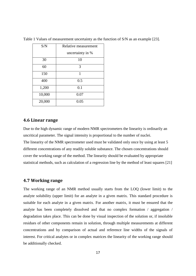| S/N    | Relative measurement |  |  |
|--------|----------------------|--|--|
|        | uncertainty in %     |  |  |
| 30     | 10                   |  |  |
| 60     | 3                    |  |  |
| 150    | 1                    |  |  |
| 400    | 0.5                  |  |  |
| 1,200  | 0.1                  |  |  |
| 10,000 | 0.07                 |  |  |
| 20,000 | 0.05                 |  |  |

Table 1 Values of measurement uncertainty as the function of S/N as an example [23].

### **4.6 Linear range**

Due to the high dynamic range of modern NMR spectrometers the linearity is ordinarily an uncritical parameter. The signal intensity is proportional to the number of nuclei. The linearity of the NMR spectrometer used must be validated only once by using at least 5 different concentrations of any readily soluble substance. The chosen concentrations should cover the working range of the method. The linearity should be evaluated by appropriate statistical methods, such as calculation of a regression line by the method of least squares [21]

### **4.7 Working range**

The working range of an NMR method usually starts from the LOQ (lower limit) to the analyte solubility (upper limit) for an analyte in a given matrix. This standard procedure is suitable for each analyte in a given matrix. For another matrix, it must be ensured that the analyte has been completely dissolved and that no complex formation / aggregation / degradation takes place. This can be done by visual inspection of the solution or, if insoluble residues of other components remain in solution, through multiple measurements at different concentrations and by comparison of actual and reference line widths of the signals of interest. For critical analytes or in complex matrices the linearity of the working range should be additionally checked.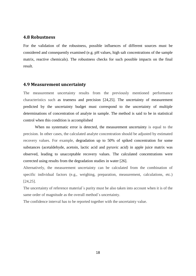### **4.8 Robustness**

For the validation of the robustness, possible influences of different sources must be considered and consequently examined (e.g. pH values, high salt concentrations of the sample matrix, reactive chemicals). The robustness checks for such possible impacts on the final result.

### **4.9 Measurement uncertainty**

The measurement uncertainty results from the previously mentioned performance characteristics such as trueness and precision [24,25]. The uncertainty of measurement predicted by the uncertainty budget must correspond to the uncertainty of multiple determinations of concentration of analyte in sample. The method is said to be in statistical control when this condition is accomplished

When no systematic error is detected, the measurement uncertainty is equal to the precision. In other cases, the calculated analyte concentration should be adjusted by estimated recovery values. For example, degradation up to 50% of spiked concentration for some substances (acetaldehyde, acetoin, lactic acid and pyruvic acid) in apple juice matrix was observed, leading to unacceptable recovery values. The calculated concentrations were corrected using results from the degradation studies in water [26].

Alternatively, the measurement uncertainty can be calculated from the combination of specific individual factors (e.g., weighing, preparation, measurement, calculations, etc.) [24,25].

The uncertainty of reference material´s purity must be also taken into account when it is of the same order of magnitude as the overall method´s uncertainty.

The confidence interval has to be reported together with the uncertainty value.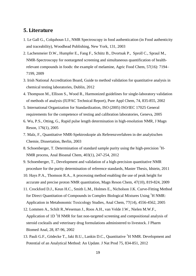# **5. Literature**

- 1. Le Gall G., Colquhoun I.J., NMR Spectroscopy in food authentication (in Food authenticity and traceability), Woodhead Publishing, New York, 131, 2003
- 2. [Lachenmeier](http://www.ncbi.nlm.nih.gov/pubmed/?term=Lachenmeier%20DW%5Bauth%5D) D.W., [Humpfer](http://www.ncbi.nlm.nih.gov/pubmed/?term=Humpfer%20E%5Bauth%5D) E., [Fang](http://www.ncbi.nlm.nih.gov/pubmed/?term=Fang%20F%5Bauth%5D) F., [Schütz](http://www.ncbi.nlm.nih.gov/pubmed/?term=Sch%26%23x000fc%3Btz%20B%5Bauth%5D) B., [Dvortsak](http://www.ncbi.nlm.nih.gov/pubmed/?term=Dvortsak%20P%5Bauth%5D) P., [Sproll](http://www.ncbi.nlm.nih.gov/pubmed/?term=Sproll%20C%5Bauth%5D) C., [Spraul](http://www.ncbi.nlm.nih.gov/pubmed/?term=Spraul%20M%5Bauth%5D) M., NMR-Spectroscopy for nontargeted screening and simultaneous quantification of healthrelevant compounds in foods: the example of melamine, Agric Food Chem, 57(16): 7194– 7199, 2009
- 3. Irish National Accreditation Board, Guide to method validation for quantitative analysis in chemical testing laboratories, Dublin, 2012
- 4. Thompson M., Ellison S., Wood R., Harmonized guidelines for single-laboratory validation of methods of analysis (IUPAC Technical Report), Pure Appl Chem, 74, 835-855, 2002
- 5. International Organization for Standardization, ISO (2005) ISO/IEC 17025 General requirements for the competence of testing and calibration laboratories, Geneva, 2005
- 6. Wu, P.S., Otting, G., Rapid pulse length determination in high-resolution NMR, J Magn Reson, 176(1), 2005
- 7. Malz, F., Quantitative NMR-Spektroskopie als Referenzverfahren in der analytischen Chemie, Dissertation, Berlin, 2003
- 8. Schoenberger, T. Determination of standard sample purity using the high-precision <sup>1</sup>H-NMR process, Anal Bioanal Chem, 403(1), 247-254, 2012
- 9. Schoenberger, T., Development and validation of a high-precision quantitative NMR procedure for the purity determination of reference standards, Master Thesis, Idstein, 2011
- 10. Hays P.A., Thomson R.A., A processing method enabling the use of peak height for accurate and precise proton NMR quantitation, Magn Reson Chem, 47(10), 819-824, 2009
- 11. Crockford D.J., Keun H.C., Smith L.M., Holmes E., Nicholson J.K. Curve-Fitting Method for Direct Quantitation of Compounds in Complex Biological Mixtures Using <sup>1</sup>H NMR: Application in Metabonomic Toxicology Studies, Anal Chem, 77(14), 4556-4562, 2005
- 12. Lommen A., Schilt R.,Weseman J., Roos A.H., van Velde J.W., Nielen M.W.F., Application of  $1D<sup>1</sup>H NMR$  for fast non-targeted screening and compositional analysis of steroid cocktails and veterinary drug formulations administered to livestock. J Pharm Biomed Anal, 28, 87-96, 2002
- 13. Pauli G.F., Gödecke T., Jaki B.U., Lankin D.C., Quantitative <sup>1</sup>H NMR. Development and Potential of an Analytical Method: An Update. J Nat Prod 75, 834-851, 2012